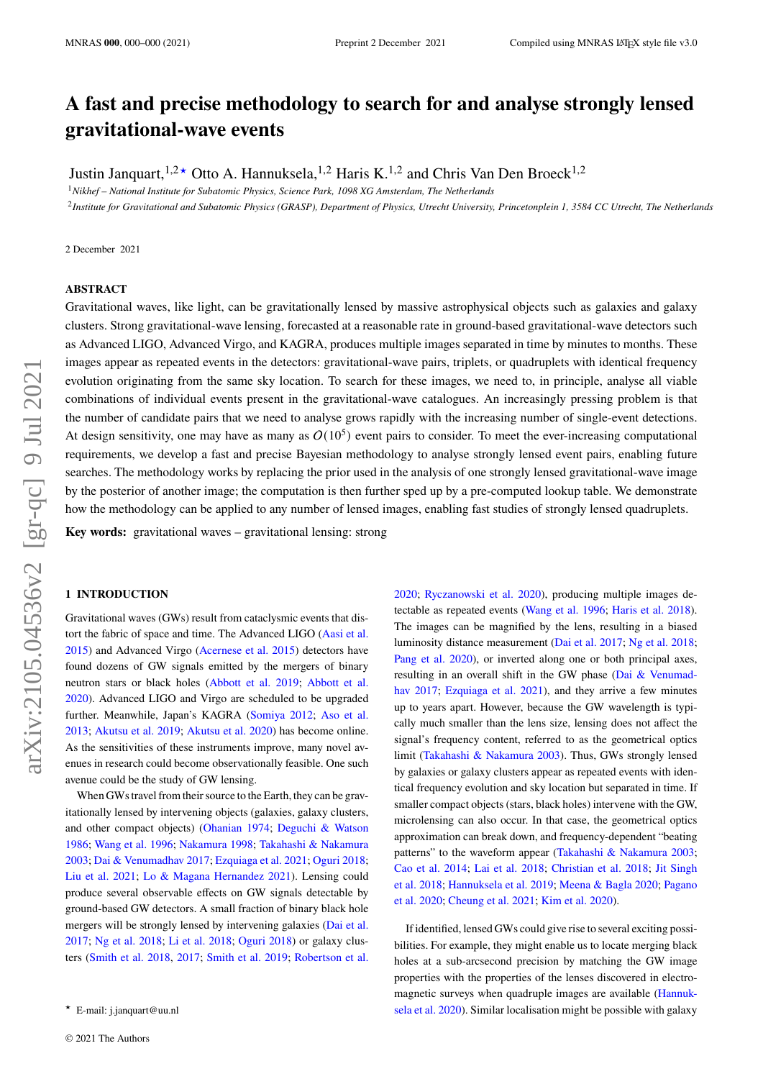# **A fast and precise methodology to search for and analyse strongly lensed gravitational-wave events**

Justin Janquart,  $1.2 \star$  Otto A. Hannuksela,  $1.2$  Haris K.<sup>1,2</sup> and Chris Van Den Broeck<sup>1,2</sup>

<sup>1</sup>*Nikhef – National Institute for Subatomic Physics, Science Park, 1098 XG Amsterdam, The Netherlands*

2 *Institute for Gravitational and Subatomic Physics (GRASP), Department of Physics, Utrecht University, Princetonplein 1, 3584 CC Utrecht, The Netherlands*

2 December 2021

## **ABSTRACT**

Gravitational waves, like light, can be gravitationally lensed by massive astrophysical objects such as galaxies and galaxy clusters. Strong gravitational-wave lensing, forecasted at a reasonable rate in ground-based gravitational-wave detectors such as Advanced LIGO, Advanced Virgo, and KAGRA, produces multiple images separated in time by minutes to months. These images appear as repeated events in the detectors: gravitational-wave pairs, triplets, or quadruplets with identical frequency evolution originating from the same sky location. To search for these images, we need to, in principle, analyse all viable combinations of individual events present in the gravitational-wave catalogues. An increasingly pressing problem is that the number of candidate pairs that we need to analyse grows rapidly with the increasing number of single-event detections. At design sensitivity, one may have as many as  $O(10^5)$  event pairs to consider. To meet the ever-increasing computational requirements, we develop a fast and precise Bayesian methodology to analyse strongly lensed event pairs, enabling future searches. The methodology works by replacing the prior used in the analysis of one strongly lensed gravitational-wave image by the posterior of another image; the computation is then further sped up by a pre-computed lookup table. We demonstrate how the methodology can be applied to any number of lensed images, enabling fast studies of strongly lensed quadruplets.

**Key words:** gravitational waves – gravitational lensing: strong

#### **1 INTRODUCTION**

Gravitational waves (GWs) result from cataclysmic events that distort the fabric of space and time. The Advanced LIGO [\(Aasi et al.](#page-6-0) [2015\)](#page-6-0) and Advanced Virgo [\(Acernese et al.](#page-6-1) [2015\)](#page-6-1) detectors have found dozens of GW signals emitted by the mergers of binary neutron stars or black holes [\(Abbott et al.](#page-6-2) [2019;](#page-6-2) [Abbott et al.](#page-6-3) [2020\)](#page-6-3). Advanced LIGO and Virgo are scheduled to be upgraded further. Meanwhile, Japan's KAGRA [\(Somiya](#page-7-0) [2012;](#page-7-0) [Aso et al.](#page-6-4) [2013;](#page-6-4) [Akutsu et al.](#page-6-5) [2019;](#page-6-5) [Akutsu et al.](#page-6-6) [2020\)](#page-6-6) has become online. As the sensitivities of these instruments improve, many novel avenues in research could become observationally feasible. One such avenue could be the study of GW lensing.

When GWs travel from their source to the Earth, they can be gravitationally lensed by intervening objects (galaxies, galaxy clusters, and other compact objects) [\(Ohanian](#page-7-1) [1974;](#page-7-1) [Deguchi & Watson](#page-6-7) [1986;](#page-6-7) [Wang et al.](#page-7-2) [1996;](#page-7-2) [Nakamura](#page-7-3) [1998;](#page-7-3) [Takahashi & Nakamura](#page-7-4) [2003;](#page-7-4) [Dai & Venumadhav](#page-6-8) [2017;](#page-6-8) [Ezquiaga et al.](#page-6-9) [2021;](#page-6-9) [Oguri](#page-7-5) [2018;](#page-7-5) [Liu et al.](#page-7-6) [2021;](#page-7-6) [Lo & Magana Hernandez](#page-7-7) [2021\)](#page-7-7). Lensing could produce several observable effects on GW signals detectable by ground-based GW detectors. A small fraction of binary black hole mergers will be strongly lensed by intervening galaxies [\(Dai et al.](#page-6-10) [2017;](#page-6-10) [Ng et al.](#page-7-8) [2018;](#page-7-8) [Li et al.](#page-6-11) [2018;](#page-6-11) [Oguri](#page-7-5) [2018\)](#page-7-5) or galaxy clusters [\(Smith et al.](#page-7-9) [2018,](#page-7-9) [2017;](#page-7-10) [Smith et al.](#page-7-11) [2019;](#page-7-11) [Robertson et al.](#page-7-12)

[2020;](#page-7-12) [Ryczanowski et al.](#page-7-13) [2020\)](#page-7-13), producing multiple images detectable as repeated events [\(Wang et al.](#page-7-2) [1996;](#page-7-2) [Haris et al.](#page-6-12) [2018\)](#page-6-12). The images can be magnified by the lens, resulting in a biased luminosity distance measurement [\(Dai et al.](#page-6-10) [2017;](#page-6-10) [Ng et al.](#page-7-8) [2018;](#page-7-8) [Pang et al.](#page-7-14) [2020\)](#page-7-14), or inverted along one or both principal axes, resulting in an overall shift in the GW phase [\(Dai & Venumad](#page-6-8)[hav](#page-6-8) [2017;](#page-6-8) [Ezquiaga et al.](#page-6-9) [2021\)](#page-6-9), and they arrive a few minutes up to years apart. However, because the GW wavelength is typically much smaller than the lens size, lensing does not affect the signal's frequency content, referred to as the geometrical optics limit [\(Takahashi & Nakamura](#page-7-4) [2003\)](#page-7-4). Thus, GWs strongly lensed by galaxies or galaxy clusters appear as repeated events with identical frequency evolution and sky location but separated in time. If smaller compact objects (stars, black holes) intervene with the GW, microlensing can also occur. In that case, the geometrical optics approximation can break down, and frequency-dependent "beating patterns" to the waveform appear [\(Takahashi & Nakamura](#page-7-4) [2003;](#page-7-4) [Cao et al.](#page-6-13) [2014;](#page-6-13) [Lai et al.](#page-6-14) [2018;](#page-6-14) [Christian et al.](#page-6-15) [2018;](#page-6-15) [Jit Singh](#page-6-16) [et al.](#page-6-16) [2018;](#page-6-16) [Hannuksela et al.](#page-6-17) [2019;](#page-6-17) [Meena & Bagla](#page-7-15) [2020;](#page-7-15) [Pagano](#page-7-16) [et al.](#page-7-16) [2020;](#page-7-16) [Cheung et al.](#page-6-18) [2021;](#page-6-18) [Kim et al.](#page-6-19) [2020\)](#page-6-19).

If identified, lensed GWs could give rise to several exciting possibilities. For example, they might enable us to locate merging black holes at a sub-arcsecond precision by matching the GW image properties with the properties of the lenses discovered in electromagnetic surveys when quadruple images are available [\(Hannuk](#page-6-20)[sela et al.](#page-6-20) [2020\)](#page-6-20). Similar localisation might be possible with galaxy

<sup>★</sup> E-mail: j.janquart@uu.nl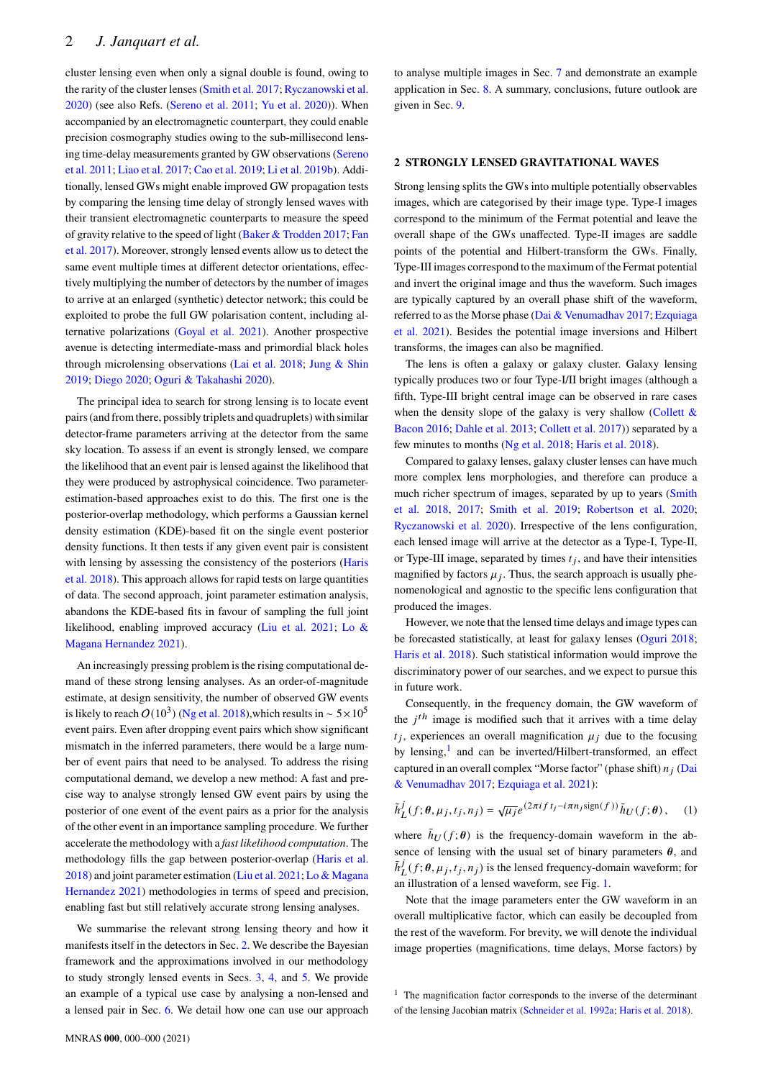cluster lensing even when only a signal double is found, owing to the rarity of the cluster lenses [\(Smith et al.](#page-7-10) [2017;](#page-7-10) [Ryczanowski et al.](#page-7-13) [2020\)](#page-7-13) (see also Refs. [\(Sereno et al.](#page-7-17) [2011;](#page-7-17) [Yu et al.](#page-7-18) [2020\)](#page-7-18)). When accompanied by an electromagnetic counterpart, they could enable precision cosmography studies owing to the sub-millisecond lensing time-delay measurements granted by GW observations [\(Sereno](#page-7-17) [et al.](#page-7-17) [2011;](#page-7-17) [Liao et al.](#page-7-19) [2017;](#page-7-19) [Cao et al.](#page-6-21) [2019;](#page-6-21) [Li et al.](#page-7-20) [2019b\)](#page-7-20). Additionally, lensed GWs might enable improved GW propagation tests by comparing the lensing time delay of strongly lensed waves with their transient electromagnetic counterparts to measure the speed of gravity relative to the speed of light [\(Baker & Trodden](#page-6-22) [2017;](#page-6-22) [Fan](#page-6-23) [et al.](#page-6-23) [2017\)](#page-6-23). Moreover, strongly lensed events allow us to detect the same event multiple times at different detector orientations, effectively multiplying the number of detectors by the number of images to arrive at an enlarged (synthetic) detector network; this could be exploited to probe the full GW polarisation content, including alternative polarizations [\(Goyal et al.](#page-6-24) [2021\)](#page-6-24). Another prospective avenue is detecting intermediate-mass and primordial black holes through microlensing observations [\(Lai et al.](#page-6-14) [2018;](#page-6-14) [Jung & Shin](#page-6-25) [2019;](#page-6-25) [Diego](#page-6-26) [2020;](#page-6-26) [Oguri & Takahashi](#page-7-21) [2020\)](#page-7-21).

The principal idea to search for strong lensing is to locate event pairs (and from there, possibly triplets and quadruplets) with similar detector-frame parameters arriving at the detector from the same sky location. To assess if an event is strongly lensed, we compare the likelihood that an event pair is lensed against the likelihood that they were produced by astrophysical coincidence. Two parameterestimation-based approaches exist to do this. The first one is the posterior-overlap methodology, which performs a Gaussian kernel density estimation (KDE)-based fit on the single event posterior density functions. It then tests if any given event pair is consistent with lensing by assessing the consistency of the posteriors [\(Haris](#page-6-12) [et al.](#page-6-12) [2018\)](#page-6-12). This approach allows for rapid tests on large quantities of data. The second approach, joint parameter estimation analysis, abandons the KDE-based fits in favour of sampling the full joint likelihood, enabling improved accuracy [\(Liu et al.](#page-7-6) [2021;](#page-7-6) [Lo &](#page-7-7) [Magana Hernandez](#page-7-7) [2021\)](#page-7-7).

An increasingly pressing problem is the rising computational demand of these strong lensing analyses. As an order-of-magnitude estimate, at design sensitivity, the number of observed GW events is likely to reach  $O(10^3)$  [\(Ng et al.](#page-7-8) [2018\)](#page-7-8), which results in ~ 5×10<sup>5</sup> event pairs. Even after dropping event pairs which show significant mismatch in the inferred parameters, there would be a large number of event pairs that need to be analysed. To address the rising computational demand, we develop a new method: A fast and precise way to analyse strongly lensed GW event pairs by using the posterior of one event of the event pairs as a prior for the analysis of the other event in an importance sampling procedure. We further accelerate the methodology with a *fast likelihood computation*. The methodology fills the gap between posterior-overlap [\(Haris et al.](#page-6-12) [2018\)](#page-6-12) and joint parameter estimation [\(Liu et al.](#page-7-6) [2021;](#page-7-6) [Lo & Magana](#page-7-7) [Hernandez](#page-7-7) [2021\)](#page-7-7) methodologies in terms of speed and precision, enabling fast but still relatively accurate strong lensing analyses.

We summarise the relevant strong lensing theory and how it manifests itself in the detectors in Sec. [2.](#page-1-0) We describe the Bayesian framework and the approximations involved in our methodology to study strongly lensed events in Secs. [3,](#page-2-0) [4,](#page-2-1) and [5.](#page-3-0) We provide an example of a typical use case by analysing a non-lensed and a lensed pair in Sec. [6.](#page-3-1) We detail how one can use our approach to analyse multiple images in Sec. [7](#page-5-0) and demonstrate an example application in Sec. [8.](#page-5-1) A summary, conclusions, future outlook are given in Sec. [9.](#page-6-27)

#### <span id="page-1-0"></span>**2 STRONGLY LENSED GRAVITATIONAL WAVES**

Strong lensing splits the GWs into multiple potentially observables images, which are categorised by their image type. Type-I images correspond to the minimum of the Fermat potential and leave the overall shape of the GWs unaffected. Type-II images are saddle points of the potential and Hilbert-transform the GWs. Finally, Type-III images correspond to the maximum of the Fermat potential and invert the original image and thus the waveform. Such images are typically captured by an overall phase shift of the waveform, referred to as the Morse phase [\(Dai & Venumadhav](#page-6-8) [2017;](#page-6-8) [Ezquiaga](#page-6-9) [et al.](#page-6-9) [2021\)](#page-6-9). Besides the potential image inversions and Hilbert transforms, the images can also be magnified.

The lens is often a galaxy or galaxy cluster. Galaxy lensing typically produces two or four Type-I/II bright images (although a fifth, Type-III bright central image can be observed in rare cases when the density slope of the galaxy is very shallow [\(Collett &](#page-6-28) [Bacon](#page-6-28) [2016;](#page-6-28) [Dahle et al.](#page-6-29) [2013;](#page-6-29) [Collett et al.](#page-6-30) [2017\)](#page-6-30)) separated by a few minutes to months [\(Ng et al.](#page-7-8) [2018;](#page-7-8) [Haris et al.](#page-6-12) [2018\)](#page-6-12).

Compared to galaxy lenses, galaxy cluster lenses can have much more complex lens morphologies, and therefore can produce a much richer spectrum of images, separated by up to years [\(Smith](#page-7-9) [et al.](#page-7-9) [2018,](#page-7-9) [2017;](#page-7-10) [Smith et al.](#page-7-11) [2019;](#page-7-11) [Robertson et al.](#page-7-12) [2020;](#page-7-12) [Ryczanowski et al.](#page-7-13) [2020\)](#page-7-13). Irrespective of the lens configuration, each lensed image will arrive at the detector as a Type-I, Type-II, or Type-III image, separated by times  $t_i$ , and have their intensities magnified by factors  $\mu_i$ . Thus, the search approach is usually phenomenological and agnostic to the specific lens configuration that produced the images.

However, we note that the lensed time delays and image types can be forecasted statistically, at least for galaxy lenses [\(Oguri](#page-7-5) [2018;](#page-7-5) [Haris et al.](#page-6-12) [2018\)](#page-6-12). Such statistical information would improve the discriminatory power of our searches, and we expect to pursue this in future work.

Consequently, in the frequency domain, the GW waveform of the  $i<sup>th</sup>$  image is modified such that it arrives with a time delay  $t_i$ , experiences an overall magnification  $\mu_i$  due to the focusing by lensing, $\frac{1}{x}$  $\frac{1}{x}$  $\frac{1}{x}$  and can be inverted/Hilbert-transformed, an effect captured in an overall complex "Morse factor" (phase shift)  $n_i$  [\(Dai](#page-6-8) [& Venumadhav](#page-6-8) [2017;](#page-6-8) [Ezquiaga et al.](#page-6-9) [2021\)](#page-6-9):

<span id="page-1-2"></span>
$$
\tilde{h}^j_L(f;\theta,\mu_j,t_j,n_j)=\sqrt{\mu_j}e^{(2\pi i f t_j-i\pi n_j\text{sign}(f))}\tilde{h}_U(f;\theta)\,,\quad \, (1)
$$

where  $\tilde{h}_{II}(f; \theta)$  is the frequency-domain waveform in the absence of lensing with the usual set of binary parameters  $\theta$ , and  $\tilde{h}^j$  $\int_{L}^{j}(f; \theta, \mu_j, t_j, n_j)$  is the lensed frequency-domain waveform; for an illustration of a lensed waveform, see Fig. [1.](#page-2-2)

Note that the image parameters enter the GW waveform in an overall multiplicative factor, which can easily be decoupled from the rest of the waveform. For brevity, we will denote the individual image properties (magnifications, time delays, Morse factors) by

<span id="page-1-1"></span><sup>&</sup>lt;sup>1</sup> The magnification factor corresponds to the inverse of the determinant of the lensing Jacobian matrix [\(Schneider et al.](#page-7-22) [1992a;](#page-7-22) [Haris et al.](#page-6-12) [2018\)](#page-6-12).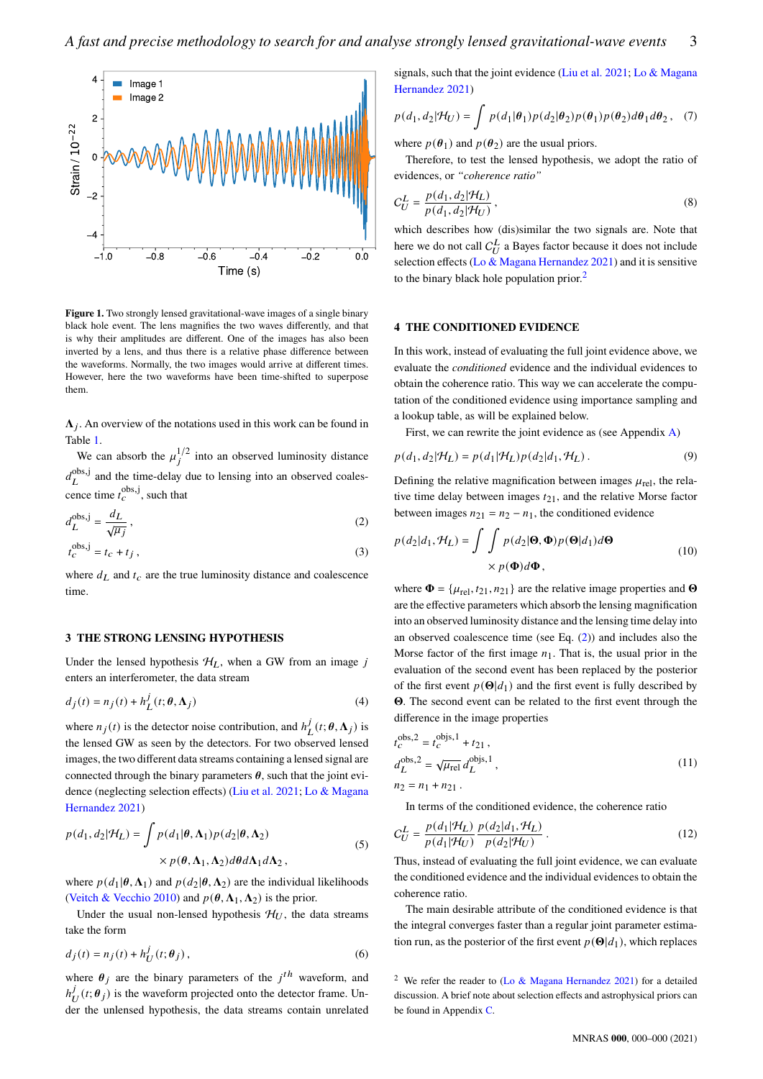

<span id="page-2-2"></span>**Figure 1.** Two strongly lensed gravitational-wave images of a single binary black hole event. The lens magnifies the two waves differently, and that is why their amplitudes are different. One of the images has also been inverted by a lens, and thus there is a relative phase difference between the waveforms. Normally, the two images would arrive at different times. However, here the two waveforms have been time-shifted to superpose them.

 $\Lambda_i$ . An overview of the notations used in this work can be found in Table [1.](#page-3-2)

We can absorb the  $\mu_j^{1/2}$  into an observed luminosity distance  $d_{\tau}^{\text{obs},j}$  $\mathcal{L}^{obs,j}$  and the time-delay due to lensing into an observed coalescence time  $t_c^{\text{obs},j}$ , such that

$$
d_L^{\text{obs},j} = \frac{d_L}{\sqrt{\mu_j}}\,,\tag{2}
$$

$$
t_c^{\text{obs},j} = t_c + t_j \,,\tag{3}
$$

where  $d_L$  and  $t_c$  are the true luminosity distance and coalescence time.

# <span id="page-2-0"></span>**3 THE STRONG LENSING HYPOTHESIS**

Under the lensed hypothesis  $H_L$ , when a GW from an image j enters an interferometer, the data stream

$$
d_j(t) = n_j(t) + h_L^j(t; \theta, \Lambda_j)
$$
\n(4)

where  $n_i(t)$  is the detector noise contribution, and  $h_i^j$  $\frac{j}{L}(t; \pmb{\theta}, \mathbf{\Lambda}_j)$  is the lensed GW as seen by the detectors. For two observed lensed images, the two different data streams containing a lensed signal are connected through the binary parameters  $\theta$ , such that the joint evidence (neglecting selection effects) [\(Liu et al.](#page-7-6) [2021;](#page-7-6) [Lo & Magana](#page-7-7) [Hernandez](#page-7-7) [2021\)](#page-7-7)

$$
p(d_1, d_2 | \mathcal{H}_L) = \int p(d_1 | \theta, \Lambda_1) p(d_2 | \theta, \Lambda_2)
$$
  
 
$$
\times p(\theta, \Lambda_1, \Lambda_2) d\theta d\Lambda_1 d\Lambda_2,
$$
 (5)

where  $p(d_1|\theta, \Lambda_1)$  and  $p(d_2|\theta, \Lambda_2)$  are the individual likelihoods [\(Veitch & Vecchio](#page-7-23) [2010\)](#page-7-23) and  $p(\theta, \Lambda_1, \Lambda_2)$  is the prior.

Under the usual non-lensed hypothesis  $\mathcal{H}_U$ , the data streams take the form

$$
d_j(t) = n_j(t) + h_U^j(t; \theta_j),
$$
\n(6)

where  $\theta_i$  are the binary parameters of the  $j<sup>th</sup>$  waveform, and  $h^j$  $\mathcal{L}_U^j(t; \theta_j)$  is the waveform projected onto the detector frame. Under the unlensed hypothesis, the data streams contain unrelated signals, such that the joint evidence [\(Liu et al.](#page-7-6) [2021;](#page-7-6) [Lo & Magana](#page-7-7) [Hernandez](#page-7-7) [2021\)](#page-7-7)

$$
p(d_1, d_2 | \mathcal{H}_U) = \int p(d_1 | \boldsymbol{\theta}_1) p(d_2 | \boldsymbol{\theta}_2) p(\boldsymbol{\theta}_1) p(\boldsymbol{\theta}_2) d\boldsymbol{\theta}_1 d\boldsymbol{\theta}_2, \quad (7)
$$

where  $p(\theta_1)$  and  $p(\theta_2)$  are the usual priors.

Therefore, to test the lensed hypothesis, we adopt the ratio of evidences, or *"coherence ratio"*

$$
C_U^L = \frac{p(d_1, d_2 | \mathcal{H}_L)}{p(d_1, d_2 | \mathcal{H}_U)},
$$
\n(8)

which describes how (dis)similar the two signals are. Note that here we do not call  $C_U^L$  a Bayes factor because it does not include selection effects [\(Lo & Magana Hernandez](#page-7-7) [2021\)](#page-7-7) and it is sensitive to the binary black hole population prior.<sup>[2](#page-2-3)</sup>

#### <span id="page-2-1"></span>**4 THE CONDITIONED EVIDENCE**

In this work, instead of evaluating the full joint evidence above, we evaluate the *conditioned* evidence and the individual evidences to obtain the coherence ratio. This way we can accelerate the computation of the conditioned evidence using importance sampling and a lookup table, as will be explained below.

<span id="page-2-5"></span>First, we can rewrite the joint evidence as (see Appendix [A\)](#page-8-0)

$$
p(d_1, d_2 | \mathcal{H}_L) = p(d_1 | \mathcal{H}_L) p(d_2 | d_1, \mathcal{H}_L).
$$
\n(9)

Defining the relative magnification between images  $\mu_{rel}$ , the relative time delay between images  $t_{21}$ , and the relative Morse factor between images  $n_{21} = n_2 - n_1$ , the conditioned evidence

<span id="page-2-4"></span>
$$
p(d_2|d_1, \mathcal{H}_L) = \int \int p(d_2|\mathbf{\Theta}, \mathbf{\Phi}) p(\mathbf{\Theta}|d_1) d\mathbf{\Theta}
$$
  
 
$$
\times p(\mathbf{\Phi}) d\mathbf{\Phi}, \qquad (10)
$$

where  $\mathbf{\Phi} = {\mu_{\text{rel}}}, t_{21}, n_{21}$  are the relative image properties and  $\mathbf{\Theta}$ are the effective parameters which absorb the lensing magnification into an observed luminosity distance and the lensing time delay into an observed coalescence time (see Eq. [\(2\)](#page-2-4)) and includes also the Morse factor of the first image  $n_1$ . That is, the usual prior in the evaluation of the second event has been replaced by the posterior of the first event  $p(\Theta|d_1)$  and the first event is fully described by . The second event can be related to the first event through the difference in the image properties

$$
t_C^{\text{obs},2} = t_C^{\text{objs},1} + t_{21},
$$
  
\n
$$
d_L^{\text{obs},2} = \sqrt{\mu_{\text{rel}}} d_L^{\text{objs},1},
$$
  
\n
$$
n_2 = n_1 + n_{21}.
$$
\n(11)

In terms of the conditioned evidence, the coherence ratio

$$
C_U^L = \frac{p(d_1|\mathcal{H}_L)}{p(d_1|\mathcal{H}_U)} \frac{p(d_2|d_1, \mathcal{H}_L)}{p(d_2|\mathcal{H}_U)}.
$$
(12)

Thus, instead of evaluating the full joint evidence, we can evaluate the conditioned evidence and the individual evidences to obtain the coherence ratio.

The main desirable attribute of the conditioned evidence is that the integral converges faster than a regular joint parameter estimation run, as the posterior of the first event  $p(\Theta|d_1)$ , which replaces

<span id="page-2-3"></span><sup>2</sup> We refer the reader to (Lo  $\&$  Magana Hernandez [2021\)](#page-7-7) for a detailed discussion. A brief note about selection effects and astrophysical priors can be found in Appendix [C.](#page-9-0)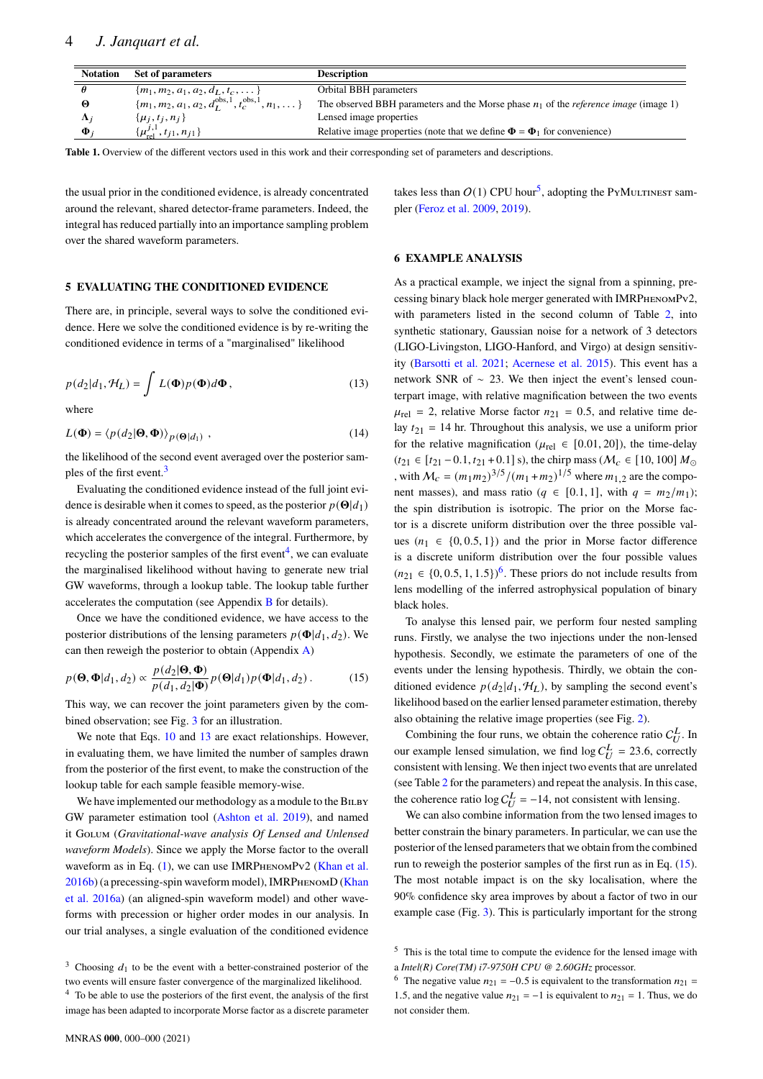| <b>Notation</b> | Set of parameters                                                          | <b>Description</b>                                                                            |
|-----------------|----------------------------------------------------------------------------|-----------------------------------------------------------------------------------------------|
|                 | $\{m_1, m_2, a_1, a_2, d_L, t_c, \dots\}$                                  | Orbital BBH parameters                                                                        |
|                 | ${m_1, m_2, a_1, a_2, d_L^{\text{obs},1}, t_c^{\text{obs},1}, n_1, \dots}$ | The observed BBH parameters and the Morse phase $n_1$ of the <i>reference image</i> (image 1) |
| $\Lambda$ :     | $\{\mu_j, t_j, n_j\}$                                                      | Lensed image properties                                                                       |
| Φ.              | $\{\mu_{\rm rel}^{j,1}, t_{j1}, n_{j1}\}\$                                 | Relative image properties (note that we define $\Phi = \Phi_1$ for convenience)               |

**Table 1.** Overview of the different vectors used in this work and their corresponding set of parameters and descriptions.

the usual prior in the conditioned evidence, is already concentrated around the relevant, shared detector-frame parameters. Indeed, the integral has reduced partially into an importance sampling problem over the shared waveform parameters.

#### <span id="page-3-0"></span>**5 EVALUATING THE CONDITIONED EVIDENCE**

There are, in principle, several ways to solve the conditioned evidence. Here we solve the conditioned evidence is by re-writing the conditioned evidence in terms of a "marginalised" likelihood

<span id="page-3-5"></span>
$$
p(d_2|d_1, \mathcal{H}_L) = \int L(\mathbf{\Phi}) p(\mathbf{\Phi}) d\mathbf{\Phi}, \qquad (13)
$$

where

$$
L(\mathbf{\Phi}) = \langle p(d_2|\mathbf{\Theta}, \mathbf{\Phi}) \rangle_{p(\mathbf{\Theta}|d_1)}, \qquad (14)
$$

the likelihood of the second event averaged over the posterior sam-ples of the first event.<sup>[3](#page-3-3)</sup>

Evaluating the conditioned evidence instead of the full joint evidence is desirable when it comes to speed, as the posterior  $p(\Theta|d_1)$ is already concentrated around the relevant waveform parameters, which accelerates the convergence of the integral. Furthermore, by recycling the posterior samples of the first event<sup>[4](#page-3-4)</sup>, we can evaluate the marginalised likelihood without having to generate new trial GW waveforms, through a lookup table. The lookup table further accelerates the computation (see Appendix [B](#page-8-1) for details).

Once we have the conditioned evidence, we have access to the posterior distributions of the lensing parameters  $p(\Phi|d_1, d_2)$ . We can then reweigh the posterior to obtain (Appendix [A\)](#page-8-0)

$$
p(\mathbf{\Theta}, \mathbf{\Phi}|d_1, d_2) \propto \frac{p(d_2|\mathbf{\Theta}, \mathbf{\Phi})}{p(d_1, d_2|\mathbf{\Phi})} p(\mathbf{\Theta}|d_1) p(\mathbf{\Phi}|d_1, d_2).
$$
 (15)

This way, we can recover the joint parameters given by the combined observation; see Fig. [3](#page-4-0) for an illustration.

We note that Eqs. [10](#page-2-5) and [13](#page-3-5) are exact relationships. However, in evaluating them, we have limited the number of samples drawn from the posterior of the first event, to make the construction of the lookup table for each sample feasible memory-wise.

We have implemented our methodology as a module to the BILBY GW parameter estimation tool [\(Ashton et al.](#page-6-31) [2019\)](#page-6-31), and named it Golum (*Gravitational-wave analysis Of Lensed and Unlensed waveform Models*). Since we apply the Morse factor to the overall waveform as in Eq.  $(1)$ , we can use IMRPHENOMPv2 [\(Khan et al.](#page-6-32) [2016b\)](#page-6-32) (a precessing-spin waveform model), IMRPhenomD [\(Khan](#page-6-33) [et al.](#page-6-33) [2016a\)](#page-6-33) (an aligned-spin waveform model) and other waveforms with precession or higher order modes in our analysis. In our trial analyses, a single evaluation of the conditioned evidence <span id="page-3-2"></span>takes less than  $O(1)$  CPU hour<sup>[5](#page-3-6)</sup>, adopting the PYMULTINEST sampler [\(Feroz et al.](#page-6-34) [2009,](#page-6-34) [2019\)](#page-6-35).

#### <span id="page-3-1"></span>**6 EXAMPLE ANALYSIS**

As a practical example, we inject the signal from a spinning, precessing binary black hole merger generated with IMRPhenomPv2, with parameters listed in the second column of Table [2,](#page-4-1) into synthetic stationary, Gaussian noise for a network of 3 detectors (LIGO-Livingston, LIGO-Hanford, and Virgo) at design sensitivity [\(Barsotti et al.](#page-6-36) [2021;](#page-6-36) [Acernese et al.](#page-6-1) [2015\)](#page-6-1). This event has a network SNR of ∼ 23. We then inject the event's lensed counterpart image, with relative magnification between the two events  $\mu_{\text{rel}} = 2$ , relative Morse factor  $n_{21} = 0.5$ , and relative time delay  $t_{21}$  = 14 hr. Throughout this analysis, we use a uniform prior for the relative magnification ( $\mu_{rel} \in [0.01, 20]$ ), the time-delay  $(t_{21} \in [t_{21} - 0.1, t_{21} + 0.1]$  s), the chirp mass ( $\mathcal{M}_c \in [10, 100]$   $M_{\odot}$ , with  $M_c = (m_1 m_2)^{3/5} / (m_1 + m_2)^{1/5}$  where  $m_{1,2}$  are the component masses), and mass ratio ( $q \in [0.1, 1]$ , with  $q = m_2/m_1$ ); the spin distribution is isotropic. The prior on the Morse factor is a discrete uniform distribution over the three possible values  $(n_1 \in \{0, 0.5, 1\})$  and the prior in Morse factor difference is a discrete uniform distribution over the four possible values  $(n_{21} \in \{0, 0.5, 1, 1.5\})^6$  $(n_{21} \in \{0, 0.5, 1, 1.5\})^6$ . These priors do not include results from lens modelling of the inferred astrophysical population of binary black holes.

<span id="page-3-8"></span>To analyse this lensed pair, we perform four nested sampling runs. Firstly, we analyse the two injections under the non-lensed hypothesis. Secondly, we estimate the parameters of one of the events under the lensing hypothesis. Thirdly, we obtain the conditioned evidence  $p(d_2|d_1, \mathcal{H}_L)$ , by sampling the second event's likelihood based on the earlier lensed parameter estimation, thereby also obtaining the relative image properties (see Fig. [2\)](#page-4-2).

Combining the four runs, we obtain the coherence ratio  $C_U^L$ . In our example lensed simulation, we find  $\log C_U^L = 23.6$ , correctly consistent with lensing. We then inject two events that are unrelated (see Table [2](#page-4-1) for the parameters) and repeat the analysis. In this case, the coherence ratio log  $C_U^L = -14$ , not consistent with lensing.

We can also combine information from the two lensed images to better constrain the binary parameters. In particular, we can use the posterior of the lensed parameters that we obtain from the combined run to reweigh the posterior samples of the first run as in Eq. [\(15\)](#page-3-8). The most notable impact is on the sky localisation, where the 90% confidence sky area improves by about a factor of two in our example case (Fig. [3\)](#page-4-0). This is particularly important for the strong

<span id="page-3-3"></span><sup>&</sup>lt;sup>3</sup> Choosing  $d_1$  to be the event with a better-constrained posterior of the two events will ensure faster convergence of the marginalized likelihood.

<span id="page-3-4"></span><sup>4</sup> To be able to use the posteriors of the first event, the analysis of the first image has been adapted to incorporate Morse factor as a discrete parameter

<span id="page-3-6"></span><sup>5</sup> This is the total time to compute the evidence for the lensed image with a *Intel(R) Core(TM) i7-9750H CPU @ 2.60GHz* processor.

<span id="page-3-7"></span><sup>&</sup>lt;sup>6</sup> The negative value  $n_{21} = -0.5$  is equivalent to the transformation  $n_{21} =$ 1.5, and the negative value  $n_{21} = -1$  is equivalent to  $n_{21} = 1$ . Thus, we do not consider them.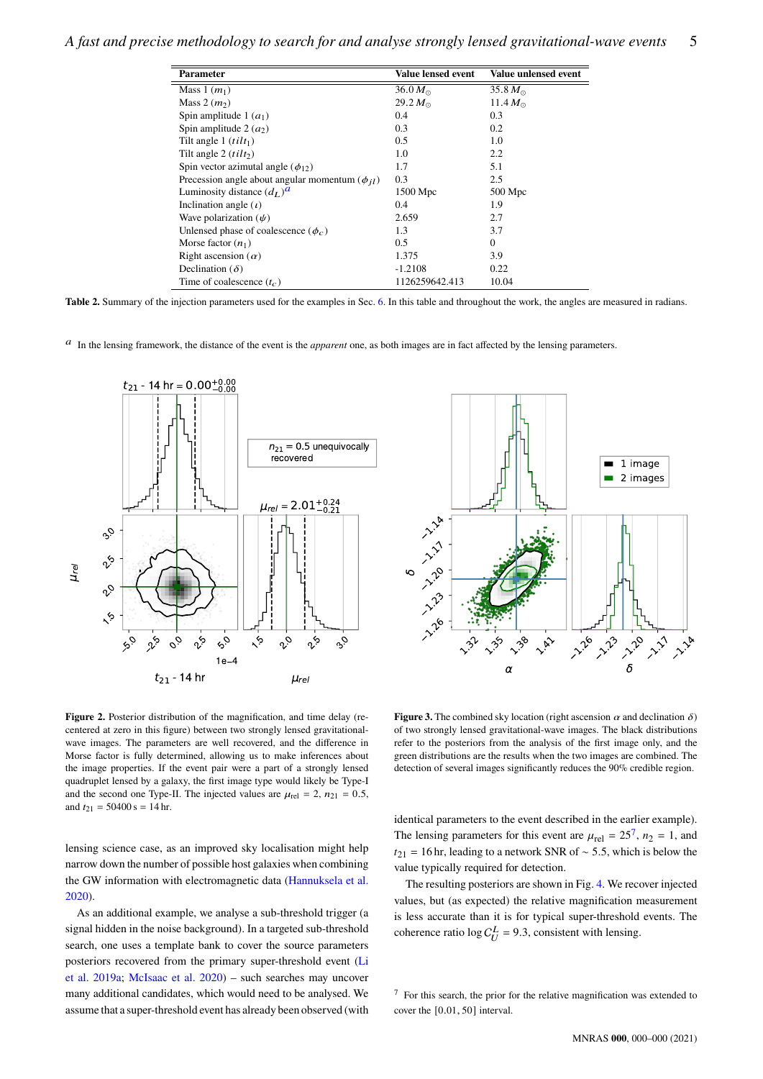| <b>Parameter</b>                                        | Value lensed event | Value unlensed event |
|---------------------------------------------------------|--------------------|----------------------|
| Mass $1(m_1)$                                           | 36.0 $M_{\odot}$   | 35.8 $M_{\odot}$     |
| Mass 2 $(m2)$                                           | 29.2 $M_{\odot}$   | 11.4 $M_{\odot}$     |
| Spin amplitude 1 $(a_1)$                                | 0.4                | 0.3                  |
| Spin amplitude 2 $(a_2)$                                | 0.3                | 0.2                  |
| Tilt angle 1 $(tilt_1)$                                 | 0.5                | 1.0                  |
| Tilt angle 2 $(tilt2)$                                  | 1.0                | 2.2                  |
| Spin vector azimutal angle $(\phi_{12})$                | 1.7                | 5.1                  |
| Precession angle about angular momentum ( $\phi_{il}$ ) | 0.3                | 2.5                  |
| Luminosity distance $(d_L)^d$                           | 1500 Mpc           | $500$ Mpc            |
| Inclination angle $(t)$                                 | 0.4                | 1.9                  |
| Wave polarization $(\psi)$                              | 2.659              | 2.7                  |
| Unlensed phase of coalescence ( $\phi_c$ )              | 1.3                | 3.7                  |
| Morse factor $(n_1)$                                    | 0.5                | $\mathbf{0}$         |
| Right ascension $(\alpha)$                              | 1.375              | 3.9                  |
| Declination ( $\delta$ )                                | $-1.2108$          | 0.22                 |
| Time of coalescence $(t_c)$                             | 1126259642.413     | 10.04                |

**Table 2.** Summary of the injection parameters used for the examples in Sec. [6.](#page-3-1) In this table and throughout the work, the angles are measured in radians.

<span id="page-4-3"></span>In the lensing framework, the distance of the event is the *apparent* one, as both images are in fact affected by the lensing parameters.



<span id="page-4-1"></span>

<span id="page-4-2"></span>Figure 2. Posterior distribution of the magnification, and time delay (recentered at zero in this figure) between two strongly lensed gravitationalwave images. The parameters are well recovered, and the difference in Morse factor is fully determined, allowing us to make inferences about the image properties. If the event pair were a part of a strongly lensed quadruplet lensed by a galaxy, the first image type would likely be Type-I and the second one Type-II. The injected values are  $\mu_{rel} = 2$ ,  $n_{21} = 0.5$ , and  $t_{21} = 50400 \text{ s} = 14 \text{ hr}.$ 

lensing science case, as an improved sky localisation might help narrow down the number of possible host galaxies when combining the GW information with electromagnetic data [\(Hannuksela et al.](#page-6-20) [2020\)](#page-6-20).

As an additional example, we analyse a sub-threshold trigger (a signal hidden in the noise background). In a targeted sub-threshold search, one uses a template bank to cover the source parameters posteriors recovered from the primary super-threshold event [\(Li](#page-7-24) [et al.](#page-7-24) [2019a;](#page-7-24) [McIsaac et al.](#page-7-25) [2020\)](#page-7-25) – such searches may uncover many additional candidates, which would need to be analysed. We  $\frac{1}{20}$   $\frac{1}{20}$   $\frac{1}{20}$   $\frac{1}{20}$   $\frac{1}{20}$   $\frac{1}{20}$   $\frac{1}{20}$   $\frac{1}{20}$   $\frac{1}{20}$   $\frac{1}{20}$  super-threshold event has already been observed and the super-threshold event has already been observed and the

<span id="page-4-0"></span>**Figure 3.** The combined sky location (right ascension  $\alpha$  and declination  $\delta$ ) of two strongly lensed gravitational-wave images. The black distributions refer to the posteriors from the analysis of the first image only, and the green distributions are the results when the two images are combined. The detection of several images significantly reduces the 90% credible region.

identical parameters to the event described in the earlier example). The lensing parameters for this event are  $\mu_{\text{rel}} = 25^7$  $\mu_{\text{rel}} = 25^7$ ,  $n_2 = 1$ , and  $t_{21}$  = 16 hr, leading to a network SNR of ~ 5.5, which is below the value typically required for detection.

The resulting posteriors are shown in Fig. [4.](#page-5-2) We recover injected values, but (as expected) the relative magnification measurement is less accurate than it is for typical super-threshold events. The coherence ratio  $\log C_U^L = 9.3$ , consistent with lensing.

<span id="page-4-4"></span><sup>7</sup> For this search, the prior for the relative magnification was extended to cover the [0.01, 50] interval.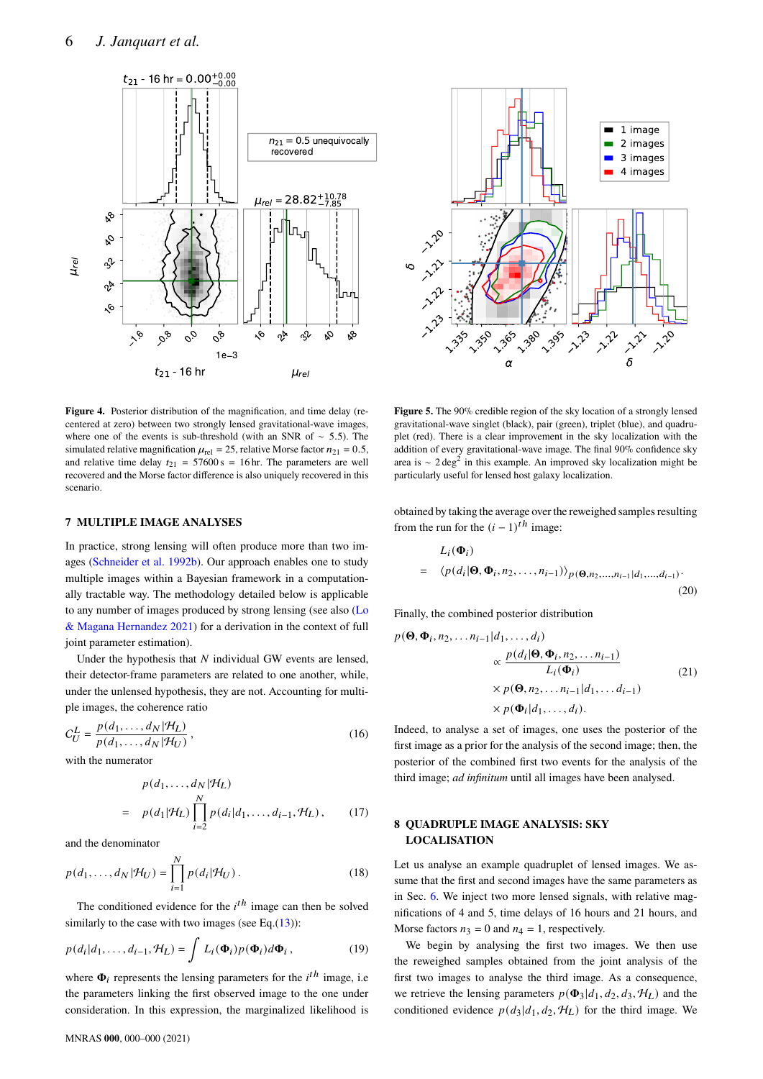



<span id="page-5-2"></span>**Figure 4.** Posterior distribution of the magnification, and time delay (recentered at zero) between two strongly lensed gravitational-wave images, where one of the events is sub-threshold (with an SNR of ∼ 5.5). The simulated relative magnification  $\mu_{rel} = 25$ , relative Morse factor  $n_{21} = 0.5$ , and relative time delay  $t_{21} = 57600 \text{ s} = 16 \text{ hr}$ . The parameters are well recovered and the Morse factor difference is also uniquely recovered in this scenario.

#### <span id="page-5-0"></span>**7 MULTIPLE IMAGE ANALYSES**

In practice, strong lensing will often produce more than two images [\(Schneider et al.](#page-7-26) [1992b\)](#page-7-26). Our approach enables one to study multiple images within a Bayesian framework in a computationally tractable way. The methodology detailed below is applicable to any number of images produced by strong lensing (see also [\(Lo](#page-7-7) [& Magana Hernandez](#page-7-7) [2021\)](#page-7-7) for a derivation in the context of full joint parameter estimation).  $\sum_{i=1}^{n} \sum_{j=1}^{n} \sum_{j=1}^{n} \sum_{k=1}^{n} \sum_{k=1}^{n} \sum_{k=1}^{n} \sum_{k=1}^{n} \sum_{k=1}^{n} \sum_{k=1}^{n} \sum_{k=1}^{n} \sum_{k=1}^{n} \sum_{k=1}^{n} \sum_{k=1}^{n} \sum_{k=1}^{n} \sum_{k=1}^{n} \sum_{k=1}^{n} \sum_{k=1}^{n} \sum_{k=1}^{n} \sum_{k=1}^{n} \sum_{k=1}^{n} \sum_{k=1}^{n} \sum_{k=1}^{n}$ 

Under the hypothesis that  $N$  individual GW events are lensed, their detector-frame parameters are related to one another, while, under the unlensed hypothesis, they are not. Accounting for multiple images, the coherence ratio

$$
C_U^L = \frac{p(d_1, \dots, d_N | \mathcal{H}_L)}{p(d_1, \dots, d_N | \mathcal{H}_U)},
$$
\n(16)

with the numerator

$$
p(d_1, \ldots, d_N | \mathcal{H}_L)
$$
  
=  $p(d_1 | \mathcal{H}_L) \prod_{i=2}^N p(d_i | d_1, \ldots, d_{i-1}, \mathcal{H}_L),$  (17)

and the denominator

$$
p(d_1, \dots, d_N | \mathcal{H}_U) = \prod_{i=1}^N p(d_i | \mathcal{H}_U).
$$
 (18)

The conditioned evidence for the  $i<sup>th</sup>$  image can then be solved similarly to the case with two images (see Eq. $(13)$ ):

$$
p(d_i|d_1,\ldots,d_{i-1},\mathcal{H}_L) = \int L_i(\mathbf{\Phi}_i)p(\mathbf{\Phi}_i)d\mathbf{\Phi}_i, \qquad (19)
$$

where  $\Phi_i$  represents the lensing parameters for the  $i^{th}$  image, i.e. the parameters linking the first observed image to the one under

<span id="page-5-3"></span>**Figure 5.** The 90% credible region of the sky location of a strongly lensed gravitational-wave singlet (black), pair (green), triplet (blue), and quadruplet (red). There is a clear improvement in the sky localization with the addition of every gravitational-wave image. The final 90% confidence sky area is ~  $2 \text{ deg}^2$  in this example. An improved sky localization might be particularly useful for lensed host galaxy localization.

obtained by taking the average over the reweighed samples resulting from the run for the  $(i - 1)<sup>th</sup>$  image:

$$
L_i(\Phi_i)
$$
  
=  $\langle p(d_i|\Theta, \Phi_i, n_2, \dots, n_{i-1}) \rangle_{p(\Theta, n_2, \dots, n_{i-1}|d_1, \dots, d_{i-1})}$  (20)

Finally, the combined posterior distribution

$$
p(\mathbf{\Theta}, \mathbf{\Phi}_i, n_2, \dots n_{i-1} | d_1, \dots, d_i)
$$

$$
\propto \frac{p(d_i | \mathbf{\Theta}, \mathbf{\Phi}_i, n_2, \dots n_{i-1})}{L_i(\mathbf{\Phi}_i)}
$$

$$
\times p(\mathbf{\Theta}, n_2, \dots n_{i-1} | d_1, \dots d_{i-1})
$$

$$
\times p(\mathbf{\Phi}_i | d_1, \dots, d_i).
$$
(21)

Indeed, to analyse a set of images, one uses the posterior of the first image as a prior for the analysis of the second image; then, the posterior of the combined first two events for the analysis of the third image; *ad infinitum* until all images have been analysed.

# <span id="page-5-1"></span>**8 QUADRUPLE IMAGE ANALYSIS: SKY LOCALISATION**

Let us analyse an example quadruplet of lensed images. We assume that the first and second images have the same parameters as in Sec. [6.](#page-3-1) We inject two more lensed signals, with relative magnifications of 4 and 5, time delays of 16 hours and 21 hours, and Morse factors  $n_3 = 0$  and  $n_4 = 1$ , respectively.

We begin by analysing the first two images. We then use the reweighed samples obtained from the joint analysis of the first two images to analyse the third image. As a consequence, we retrieve the lensing parameters  $p(\Phi_3|d_1, d_2, d_3, H_L)$  and the conditioned evidence  $p(d_3|d_1, d_2, \mathcal{H}_L)$  for the third image. We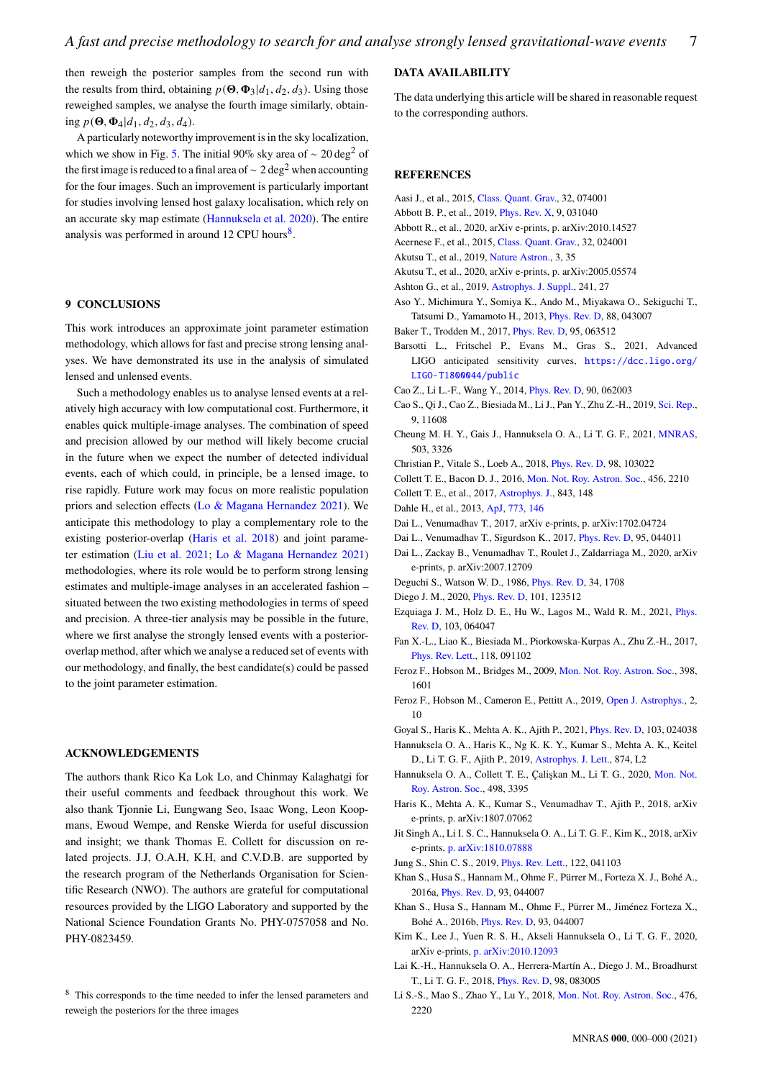then reweigh the posterior samples from the second run with the results from third, obtaining  $p(\boldsymbol{\Theta}, \boldsymbol{\Phi}_3|d_1, d_2, d_3)$ . Using those reweighed samples, we analyse the fourth image similarly, obtaining  $p(\mathbf{\Theta}, \mathbf{\Phi}_4|d_1, d_2, d_3, d_4)$ .

A particularly noteworthy improvement is in the sky localization, which we show in Fig. [5.](#page-5-3) The initial 90% sky area of  $\sim 20 \text{ deg}^2$  of the first image is reduced to a final area of  $\sim 2 \text{ deg}^2$  when accounting for the four images. Such an improvement is particularly important for studies involving lensed host galaxy localisation, which rely on an accurate sky map estimate [\(Hannuksela et al.](#page-6-20) [2020\)](#page-6-20). The entire analysis was performed in around  $12$  CPU hours<sup>[8](#page-6-37)</sup>.

#### <span id="page-6-27"></span>**9 CONCLUSIONS**

This work introduces an approximate joint parameter estimation methodology, which allows for fast and precise strong lensing analyses. We have demonstrated its use in the analysis of simulated lensed and unlensed events.

Such a methodology enables us to analyse lensed events at a relatively high accuracy with low computational cost. Furthermore, it enables quick multiple-image analyses. The combination of speed and precision allowed by our method will likely become crucial in the future when we expect the number of detected individual events, each of which could, in principle, be a lensed image, to rise rapidly. Future work may focus on more realistic population priors and selection effects [\(Lo & Magana Hernandez](#page-7-7) [2021\)](#page-7-7). We anticipate this methodology to play a complementary role to the existing posterior-overlap [\(Haris et al.](#page-6-12) [2018\)](#page-6-12) and joint parameter estimation [\(Liu et al.](#page-7-6) [2021;](#page-7-6) [Lo & Magana Hernandez](#page-7-7) [2021\)](#page-7-7) methodologies, where its role would be to perform strong lensing estimates and multiple-image analyses in an accelerated fashion – situated between the two existing methodologies in terms of speed and precision. A three-tier analysis may be possible in the future, where we first analyse the strongly lensed events with a posterioroverlap method, after which we analyse a reduced set of events with our methodology, and finally, the best candidate(s) could be passed to the joint parameter estimation.

#### **ACKNOWLEDGEMENTS**

The authors thank Rico Ka Lok Lo, and Chinmay Kalaghatgi for their useful comments and feedback throughout this work. We also thank Tjonnie Li, Eungwang Seo, Isaac Wong, Leon Koopmans, Ewoud Wempe, and Renske Wierda for useful discussion and insight; we thank Thomas E. Collett for discussion on related projects. J.J, O.A.H, K.H, and C.V.D.B. are supported by the research program of the Netherlands Organisation for Scientific Research (NWO). The authors are grateful for computational resources provided by the LIGO Laboratory and supported by the National Science Foundation Grants No. PHY-0757058 and No. PHY-0823459.

## **DATA AVAILABILITY**

The data underlying this article will be shared in reasonable request to the corresponding authors.

#### **REFERENCES**

- <span id="page-6-0"></span>Aasi J., et al., 2015, [Class. Quant. Grav.,](http://dx.doi.org/10.1088/0264-9381/32/7/074001) 32, 074001
- <span id="page-6-3"></span><span id="page-6-2"></span>Abbott B. P., et al., 2019, [Phys. Rev. X,](http://dx.doi.org/10.1103/PhysRevX.9.031040) 9, 031040
- Abbott R., et al., 2020, arXiv e-prints, p. arXiv:2010.14527
- <span id="page-6-1"></span>Acernese F., et al., 2015, [Class. Quant. Grav.,](http://dx.doi.org/10.1088/0264-9381/32/2/024001) 32, 024001
- <span id="page-6-5"></span>Akutsu T., et al., 2019, [Nature Astron.,](http://dx.doi.org/10.1038/s41550-018-0658-y) 3, 35
- <span id="page-6-6"></span>Akutsu T., et al., 2020, arXiv e-prints, p. arXiv:2005.05574
- <span id="page-6-31"></span>Ashton G., et al., 2019, [Astrophys. J. Suppl.,](http://dx.doi.org/10.3847/1538-4365/ab06fc) 241, 27
- <span id="page-6-4"></span>Aso Y., Michimura Y., Somiya K., Ando M., Miyakawa O., Sekiguchi T., Tatsumi D., Yamamoto H., 2013, [Phys. Rev. D,](http://dx.doi.org/10.1103/PhysRevD.88.043007) 88, 043007
- <span id="page-6-22"></span>Baker T., Trodden M., 2017, [Phys. Rev. D,](http://dx.doi.org/10.1103/PhysRevD.95.063512) 95, 063512
- <span id="page-6-36"></span>Barsotti L., Fritschel P., Evans M., Gras S., 2021, Advanced LIGO anticipated sensitivity curves, [https://dcc.ligo.org/](https://dcc.ligo.org/LIGO-T1800044/public) [LIGO-T1800044/public](https://dcc.ligo.org/LIGO-T1800044/public)
- <span id="page-6-21"></span><span id="page-6-13"></span>Cao Z., Li L.-F., Wang Y., 2014, [Phys. Rev. D,](http://dx.doi.org/10.1103/PhysRevD.90.062003) 90, 062003
- Cao S., Qi J., Cao Z., Biesiada M., Li J., Pan Y., Zhu Z.-H., 2019, [Sci. Rep.,](http://dx.doi.org/10.1038/s41598-019-47616-4) 9, 11608
- <span id="page-6-18"></span>Cheung M. H. Y., Gais J., Hannuksela O. A., Li T. G. F., 2021, [MNRAS,](http://dx.doi.org/10.1093/mnras/stab579) 503, 3326
- <span id="page-6-15"></span>Christian P., Vitale S., Loeb A., 2018, [Phys. Rev. D,](http://dx.doi.org/10.1103/PhysRevD.98.103022) 98, 103022
- <span id="page-6-28"></span>Collett T. E., Bacon D. J., 2016, [Mon. Not. Roy. Astron. Soc.,](http://dx.doi.org/10.1093/mnras/stv2791) 456, 2210
- <span id="page-6-30"></span>Collett T. E., et al., 2017, [Astrophys. J.,](http://dx.doi.org/10.3847/1538-4357/aa76e6) 843, 148
- <span id="page-6-29"></span>Dahle H., et al., 2013, [ApJ,](http://dx.doi.org/10.1088/0004-637X/773/2/146) [773, 146](https://ui.adsabs.harvard.edu/abs/2013ApJ...773..146D)
- <span id="page-6-8"></span>Dai L., Venumadhav T., 2017, arXiv e-prints, p. arXiv:1702.04724
- <span id="page-6-10"></span>Dai L., Venumadhav T., Sigurdson K., 2017, [Phys. Rev. D,](http://dx.doi.org/10.1103/PhysRevD.95.044011) 95, 044011
- <span id="page-6-38"></span>Dai L., Zackay B., Venumadhav T., Roulet J., Zaldarriaga M., 2020, arXiv e-prints, p. arXiv:2007.12709
- <span id="page-6-7"></span>Deguchi S., Watson W. D., 1986, [Phys. Rev. D,](http://dx.doi.org/10.1103/PhysRevD.34.1708) 34, 1708
- <span id="page-6-26"></span>Diego J. M., 2020, [Phys. Rev. D,](http://dx.doi.org/10.1103/PhysRevD.101.123512) 101, 123512
- <span id="page-6-9"></span>Ezquiaga J. M., Holz D. E., Hu W., Lagos M., Wald R. M., 2021, [Phys.](http://dx.doi.org/10.1103/PhysRevD.103.064047) [Rev. D,](http://dx.doi.org/10.1103/PhysRevD.103.064047) 103, 064047
- <span id="page-6-23"></span>Fan X.-L., Liao K., Biesiada M., Piorkowska-Kurpas A., Zhu Z.-H., 2017, [Phys. Rev. Lett.,](http://dx.doi.org/10.1103/PhysRevLett.118.091102) 118, 091102
- <span id="page-6-34"></span>Feroz F., Hobson M., Bridges M., 2009, [Mon. Not. Roy. Astron. Soc.,](http://dx.doi.org/10.1111/j.1365-2966.2009.14548.x) 398, 1601
- <span id="page-6-35"></span>Feroz F., Hobson M., Cameron E., Pettitt A., 2019, [Open J. Astrophys.,](http://dx.doi.org/10.21105/astro.1306.2144) 2, 10
- <span id="page-6-24"></span>Goyal S., Haris K., Mehta A. K., Ajith P., 2021, [Phys. Rev. D,](http://dx.doi.org/10.1103/PhysRevD.103.024038) 103, 024038
- <span id="page-6-17"></span>Hannuksela O. A., Haris K., Ng K. K. Y., Kumar S., Mehta A. K., Keitel D., Li T. G. F., Ajith P., 2019, [Astrophys. J. Lett.,](http://dx.doi.org/10.3847/2041-8213/ab0c0f) 874, L2
- <span id="page-6-20"></span>Hannuksela O. A., Collett T. E., Çalişkan M., Li T. G., 2020, [Mon. Not.](http://dx.doi.org/10.1093/mnras/staa2577) [Roy. Astron. Soc.,](http://dx.doi.org/10.1093/mnras/staa2577) 498, 3395
- <span id="page-6-12"></span>Haris K., Mehta A. K., Kumar S., Venumadhav T., Ajith P., 2018, arXiv e-prints, p. arXiv:1807.07062
- <span id="page-6-16"></span>Jit Singh A., Li I. S. C., Hannuksela O. A., Li T. G. F., Kim K., 2018, arXiv e-prints, [p. arXiv:1810.07888](https://ui.adsabs.harvard.edu/abs/2018arXiv181007888J)
- <span id="page-6-25"></span>Jung S., Shin C. S., 2019, [Phys. Rev. Lett.,](http://dx.doi.org/10.1103/PhysRevLett.122.041103) 122, 041103
- <span id="page-6-33"></span>Khan S., Husa S., Hannam M., Ohme F., Pürrer M., Forteza X. J., Bohé A., 2016a, [Phys. Rev. D,](http://dx.doi.org/10.1103/PhysRevD.93.044007) 93, 044007
- <span id="page-6-32"></span>Khan S., Husa S., Hannam M., Ohme F., Pürrer M., Jiménez Forteza X., Bohé A., 2016b, [Phys. Rev. D,](http://dx.doi.org/10.1103/PhysRevD.93.044007) 93, 044007
- <span id="page-6-19"></span>Kim K., Lee J., Yuen R. S. H., Akseli Hannuksela O., Li T. G. F., 2020, arXiv e-prints, [p. arXiv:2010.12093](https://ui.adsabs.harvard.edu/abs/2020arXiv201012093K)
- <span id="page-6-14"></span>Lai K.-H., Hannuksela O. A., Herrera-Martín A., Diego J. M., Broadhurst T., Li T. G. F., 2018, [Phys. Rev. D,](http://dx.doi.org/10.1103/PhysRevD.98.083005) 98, 083005
- <span id="page-6-11"></span>Li S.-S., Mao S., Zhao Y., Lu Y., 2018, [Mon. Not. Roy. Astron. Soc.,](http://dx.doi.org/10.1093/mnras/sty411) 476, 2220

<span id="page-6-37"></span><sup>8</sup> This corresponds to the time needed to infer the lensed parameters and reweigh the posteriors for the three images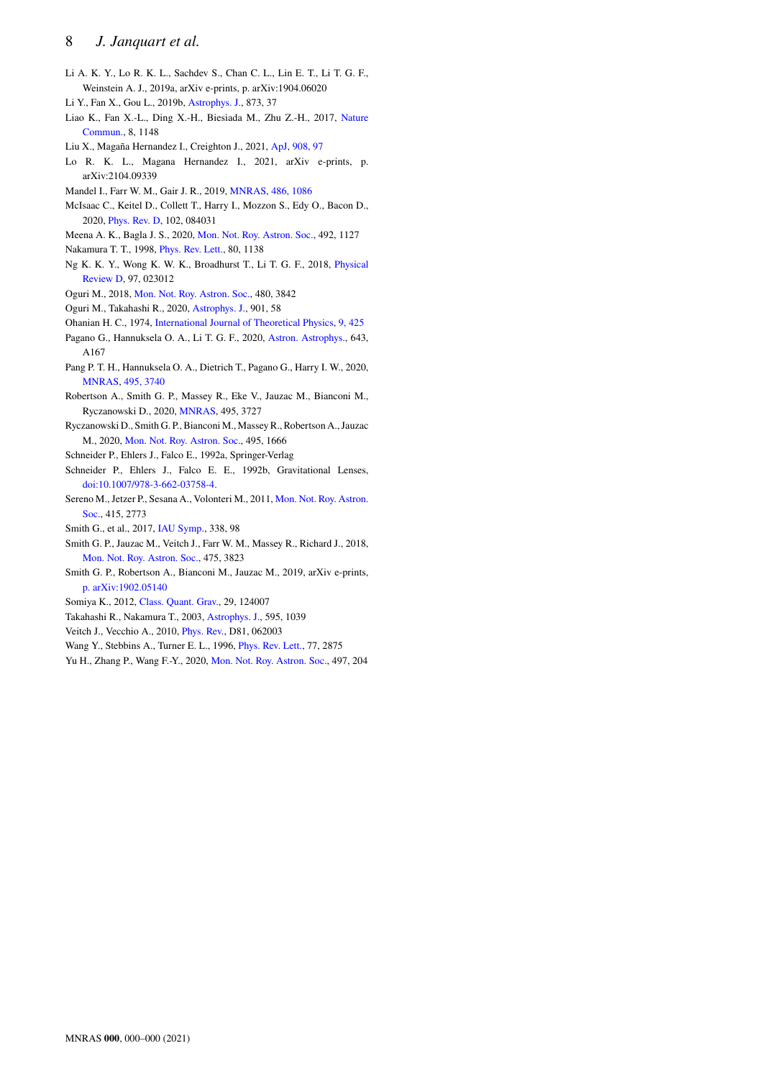# 8 *J. Janquart et al.*

- <span id="page-7-24"></span>Li A. K. Y., Lo R. K. L., Sachdev S., Chan C. L., Lin E. T., Li T. G. F., Weinstein A. J., 2019a, arXiv e-prints, p. arXiv:1904.06020
- <span id="page-7-20"></span>Li Y., Fan X., Gou L., 2019b, [Astrophys. J.,](http://dx.doi.org/10.3847/1538-4357/ab037e) 873, 37
- <span id="page-7-19"></span>Liao K., Fan X.-L., Ding X.-H., Biesiada M., Zhu Z.-H., 2017, [Nature](http://dx.doi.org/10.1038/s41467-017-01152-9) [Commun.,](http://dx.doi.org/10.1038/s41467-017-01152-9) 8, 1148
- <span id="page-7-6"></span>Liu X., Magaña Hernandez I., Creighton J., 2021, [ApJ,](http://dx.doi.org/10.3847/1538-4357/abd7eb) [908, 97](https://ui.adsabs.harvard.edu/abs/2021ApJ...908...97L)
- <span id="page-7-7"></span>Lo R. K. L., Magana Hernandez I., 2021, arXiv e-prints, p. arXiv:2104.09339
- <span id="page-7-27"></span>Mandel I., Farr W. M., Gair J. R., 2019, [MNRAS,](http://dx.doi.org/10.1093/mnras/stz896) [486, 1086](https://ui.adsabs.harvard.edu/abs/2019MNRAS.486.1086M)
- <span id="page-7-25"></span>McIsaac C., Keitel D., Collett T., Harry I., Mozzon S., Edy O., Bacon D., 2020, [Phys. Rev. D,](http://dx.doi.org/10.1103/PhysRevD.102.084031) 102, 084031
- <span id="page-7-15"></span>Meena A. K., Bagla J. S., 2020, [Mon. Not. Roy. Astron. Soc.,](http://dx.doi.org/10.1093/mnras/stz3509) 492, 1127
- <span id="page-7-3"></span>Nakamura T. T., 1998, [Phys. Rev. Lett.,](http://dx.doi.org/10.1103/PhysRevLett.80.1138) 80, 1138
- <span id="page-7-8"></span>Ng K. K. Y., Wong K. W. K., Broadhurst T., Li T. G. F., 2018, [Physical](http://dx.doi.org/10.1103/PhysRevD.97.023012) [Review D,](http://dx.doi.org/10.1103/PhysRevD.97.023012) 97, 023012
- <span id="page-7-5"></span>Oguri M., 2018, [Mon. Not. Roy. Astron. Soc.,](http://dx.doi.org/10.1093/mnras/sty2145) 480, 3842
- <span id="page-7-21"></span>Oguri M., Takahashi R., 2020, [Astrophys. J.,](http://dx.doi.org/10.3847/1538-4357/abafab) 901, 58
- <span id="page-7-1"></span>Ohanian H. C., 1974, [International Journal of Theoretical Physics,](http://dx.doi.org/10.1007/BF01810927) [9, 425](https://ui.adsabs.harvard.edu/abs/1974IJTP....9..425O)
- <span id="page-7-16"></span>Pagano G., Hannuksela O. A., Li T. G. F., 2020, [Astron. Astrophys.,](http://dx.doi.org/10.1051/0004-6361/202038730) 643, A167
- <span id="page-7-14"></span>Pang P. T. H., Hannuksela O. A., Dietrich T., Pagano G., Harry I. W., 2020, [MNRAS,](http://dx.doi.org/10.1093/mnras/staa1430) [495, 3740](https://ui.adsabs.harvard.edu/abs/2020MNRAS.495.3740P)
- <span id="page-7-12"></span>Robertson A., Smith G. P., Massey R., Eke V., Jauzac M., Bianconi M., Ryczanowski D., 2020, [MNRAS,](http://dx.doi.org/10.1093/mnras/staa1429) 495, 3727
- <span id="page-7-13"></span>Ryczanowski D., Smith G. P., Bianconi M., Massey R., Robertson A., Jauzac M., 2020, [Mon. Not. Roy. Astron. Soc.,](http://dx.doi.org/10.1093/mnras/staa1274) 495, 1666
- <span id="page-7-22"></span>Schneider P., Ehlers J., Falco E., 1992a, Springer-Verlag
- <span id="page-7-26"></span>Schneider P., Ehlers J., Falco E. E., 1992b, Gravitational Lenses, [doi:10.1007/978-3-662-03758-4.](http://dx.doi.org/10.1007/978-3-662-03758-4. )
- <span id="page-7-17"></span>Sereno M., Jetzer P., Sesana A., Volonteri M., 2011, [Mon. Not. Roy. Astron.](http://dx.doi.org/10.1111/j.1365-2966.2011.18895.x) [Soc.,](http://dx.doi.org/10.1111/j.1365-2966.2011.18895.x) 415, 2773
- <span id="page-7-10"></span>Smith G., et al., 2017, [IAU Symp.,](http://dx.doi.org/10.1017/S1743921318003757) 338, 98
- <span id="page-7-9"></span>Smith G. P., Jauzac M., Veitch J., Farr W. M., Massey R., Richard J., 2018, [Mon. Not. Roy. Astron. Soc.,](http://dx.doi.org/10.1093/mnras/sty031) 475, 3823
- <span id="page-7-11"></span>Smith G. P., Robertson A., Bianconi M., Jauzac M., 2019, arXiv e-prints, [p. arXiv:1902.05140](https://ui.adsabs.harvard.edu/abs/2019arXiv190205140S)
- <span id="page-7-0"></span>Somiya K., 2012, [Class. Quant. Grav.,](http://dx.doi.org/10.1088/0264-9381/29/12/124007) 29, 124007
- <span id="page-7-4"></span>Takahashi R., Nakamura T., 2003, [Astrophys. J.,](http://dx.doi.org/10.1086/377430) 595, 1039
- <span id="page-7-23"></span>Veitch J., Vecchio A., 2010, [Phys. Rev.,](http://dx.doi.org/10.1103/PhysRevD.81.062003) D81, 062003
- <span id="page-7-2"></span>Wang Y., Stebbins A., Turner E. L., 1996, [Phys. Rev. Lett.,](http://dx.doi.org/10.1103/PhysRevLett.77.2875) 77, 2875
- <span id="page-7-18"></span>Yu H., Zhang P., Wang F.-Y., 2020, [Mon. Not. Roy. Astron. Soc.,](http://dx.doi.org/10.1093/mnras/staa1952) 497, 204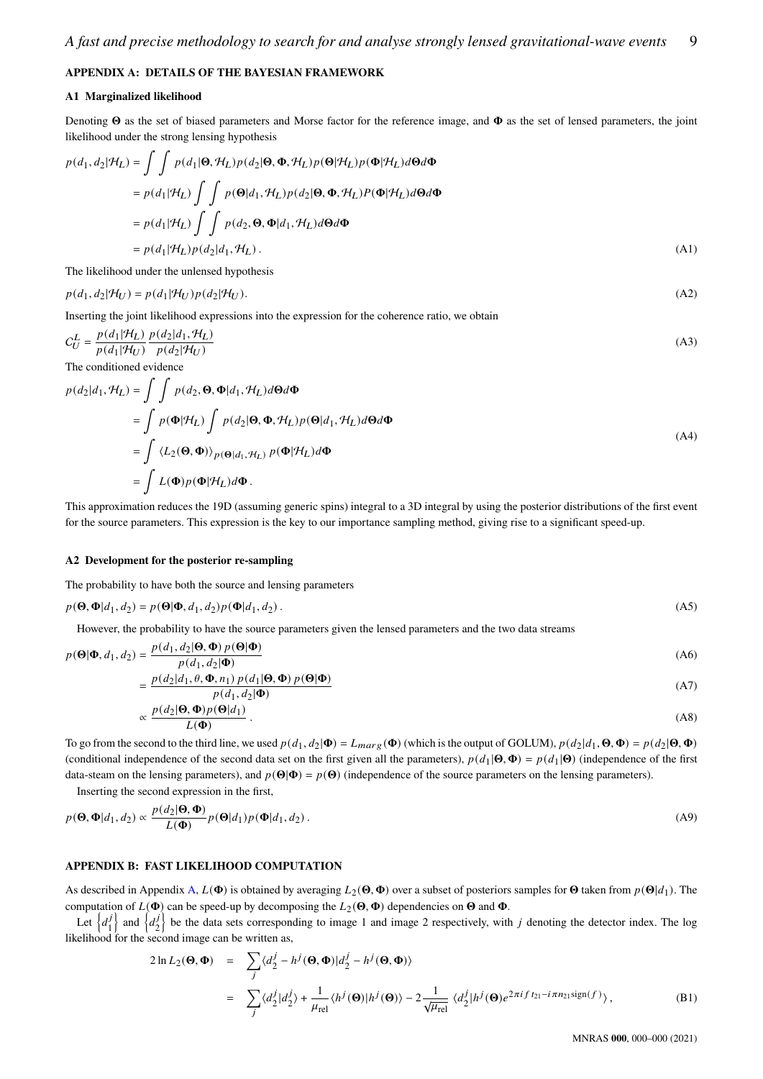# <span id="page-8-0"></span>**APPENDIX A: DETAILS OF THE BAYESIAN FRAMEWORK**

#### **A1 Marginalized likelihood**

Denoting  $\Theta$  as the set of biased parameters and Morse factor for the reference image, and  $\Phi$  as the set of lensed parameters, the joint likelihood under the strong lensing hypothesis

$$
p(d_1, d_2|\mathcal{H}_L) = \iint p(d_1|\mathbf{\Theta}, \mathcal{H}_L) p(d_2|\mathbf{\Theta}, \mathbf{\Phi}, \mathcal{H}_L) p(\mathbf{\Theta}|\mathcal{H}_L) p(\mathbf{\Phi}|\mathcal{H}_L) d\mathbf{\Theta} d\mathbf{\Phi}
$$
  
=  $p(d_1|\mathcal{H}_L) \iint p(\mathbf{\Theta}|d_1, \mathcal{H}_L) p(d_2|\mathbf{\Theta}, \mathbf{\Phi}, \mathcal{H}_L) P(\mathbf{\Phi}|\mathcal{H}_L) d\mathbf{\Theta} d\mathbf{\Phi}$   
=  $p(d_1|\mathcal{H}_L) \iint p(d_2, \mathbf{\Theta}, \mathbf{\Phi}|d_1, \mathcal{H}_L) d\mathbf{\Theta} d\mathbf{\Phi}$   
=  $p(d_1|\mathcal{H}_L) p(d_2|d_1, \mathcal{H}_L).$  (A1)

The likelihood under the unlensed hypothesis

$$
p(d_1, d_2|\mathcal{H}_U) = p(d_1|\mathcal{H}_U)p(d_2|\mathcal{H}_U). \tag{A2}
$$

Inserting the joint likelihood expressions into the expression for the coherence ratio, we obtain

$$
C_U^L = \frac{p(d_1|\mathcal{H}_L)}{p(d_1|\mathcal{H}_U)} \frac{p(d_2|d_1, \mathcal{H}_L)}{p(d_2|\mathcal{H}_U)}
$$
(A3)

The conditioned evidence

 $p($ 

$$
p(d_2|d_1, \mathcal{H}_L) = \int \int p(d_2, \mathbf{\Theta}, \mathbf{\Phi}|d_1, \mathcal{H}_L) d\mathbf{\Theta} d\mathbf{\Phi}
$$
  
= 
$$
\int p(\mathbf{\Phi}|\mathcal{H}_L) \int p(d_2|\mathbf{\Theta}, \mathbf{\Phi}, \mathcal{H}_L) p(\mathbf{\Theta}|d_1, \mathcal{H}_L) d\mathbf{\Theta} d\mathbf{\Phi}
$$
  
= 
$$
\int \langle L_2(\mathbf{\Theta}, \mathbf{\Phi}) \rangle_{p(\mathbf{\Theta}|d_1, \mathcal{H}_L)} p(\mathbf{\Phi}|\mathcal{H}_L) d\mathbf{\Phi}
$$
  
= 
$$
\int L(\mathbf{\Phi}) p(\mathbf{\Phi}|\mathcal{H}_L) d\mathbf{\Phi}.
$$
 (A4)

This approximation reduces the 19D (assuming generic spins) integral to a 3D integral by using the posterior distributions of the first event for the source parameters. This expression is the key to our importance sampling method, giving rise to a significant speed-up.

#### **A2 Development for the posterior re-sampling**

The probability to have both the source and lensing parameters

$$
p(\mathbf{\Theta}, \mathbf{\Phi}|d_1, d_2) = p(\mathbf{\Theta}|\mathbf{\Phi}, d_1, d_2)p(\mathbf{\Phi}|d_1, d_2).
$$
 (A5)

However, the probability to have the source parameters given the lensed parameters and the two data streams

$$
\Theta|\Phi, d_1, d_2) = \frac{p(d_1, d_2|\Theta, \Phi) p(\Theta|\Phi)}{p(d_1, d_2|\Phi)}\tag{A6}
$$

$$
= \frac{p(d_2|d_1,\theta,\Phi,n_1) p(d_1|\Theta,\Phi) p(\Theta|\Phi)}{p(d_1,d_2|\Phi)} \tag{A7}
$$

$$
:\frac{p(d_2|\mathbf{\Theta},\mathbf{\Phi})p(\mathbf{\Theta}|d_1)}{L(\mathbf{\Phi})}.
$$
 (A8)

To go from the second to the third line, we used  $p(d_1, d_2 | \mathbf{\Phi}) = L_{max}(\mathbf{\Phi})$  (which is the output of GOLUM),  $p(d_2 | d_1, \mathbf{\Theta}, \mathbf{\Phi}) = p(d_2 | \mathbf{\Theta}, \mathbf{\Phi})$ (conditional independence of the second data set on the first given all the parameters),  $p(d_1|\mathbf{\Theta}, \mathbf{\Phi}) = p(d_1|\mathbf{\Theta})$  (independence of the first data-steam on the lensing parameters), and  $p(\Theta|\Phi) = p(\Theta)$  (independence of the source parameters on the lensing parameters).

Inserting the second expression in the first,

∝

$$
p(\mathbf{\Theta}, \mathbf{\Phi}|d_1, d_2) \propto \frac{p(d_2|\mathbf{\Theta}, \mathbf{\Phi})}{L(\mathbf{\Phi})} p(\mathbf{\Theta}|d_1) p(\mathbf{\Phi}|d_1, d_2).
$$
 (A9)

#### <span id="page-8-1"></span>**APPENDIX B: FAST LIKELIHOOD COMPUTATION**

As described in Appendix [A,](#page-8-0)  $L(\Phi)$  is obtained by averaging  $L_2(\Theta, \Phi)$  over a subset of posteriors samples for  $\Theta$  taken from  $p(\Theta|d_1)$ . The computation of  $L(\Phi)$  can be speed-up by decomposing the  $L_2(\Theta, \Phi)$  dependencies on  $\Theta$  and  $\Phi$ .

Let  $\{d_i^j\}$  $\begin{bmatrix}j\\1\end{bmatrix}$  and  $\begin{bmatrix}d_2^j\\1\end{bmatrix}$  $\begin{bmatrix} j \\ 2 \end{bmatrix}$  be the data sets corresponding to image 1 and image 2 respectively, with j denoting the detector index. The log likelihood for the second image can be written as,

<span id="page-8-2"></span>
$$
2\ln L_2(\mathbf{\Theta}, \mathbf{\Phi}) = \sum_j \langle d_2^j - h^j(\mathbf{\Theta}, \mathbf{\Phi}) | d_2^j - h^j(\mathbf{\Theta}, \mathbf{\Phi}) \rangle
$$
  
= 
$$
\sum_j \langle d_2^j | d_2^j \rangle + \frac{1}{\mu_{rel}} \langle h^j(\mathbf{\Theta}) | h^j(\mathbf{\Theta}) \rangle - 2 \frac{1}{\sqrt{\mu_{rel}}} \langle d_2^j | h^j(\mathbf{\Theta}) e^{2\pi i f t_{21} - i\pi n_{21} sign(f)} \rangle,
$$
 (B1)